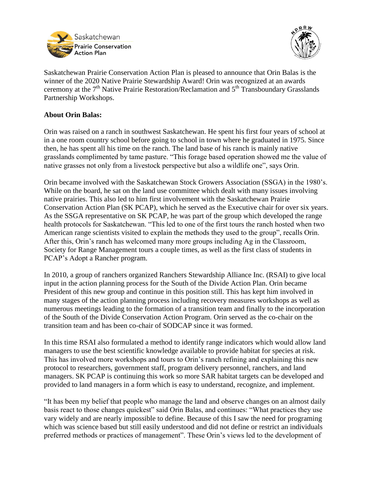



Saskatchewan Prairie Conservation Action Plan is pleased to announce that Orin Balas is the winner of the 2020 Native Prairie Stewardship Award! Orin was recognized at an awards ceremony at the  $7<sup>th</sup>$  Native Prairie Restoration/Reclamation and  $5<sup>th</sup>$  Transboundary Grasslands Partnership Workshops.

## **About Orin Balas:**

Orin was raised on a ranch in southwest Saskatchewan. He spent his first four years of school at in a one room country school before going to school in town where he graduated in 1975. Since then, he has spent all his time on the ranch. The land base of his ranch is mainly native grasslands complimented by tame pasture. "This forage based operation showed me the value of native grasses not only from a livestock perspective but also a wildlife one", says Orin.

Orin became involved with the Saskatchewan Stock Growers Association (SSGA) in the 1980's. While on the board, he sat on the land use committee which dealt with many issues involving native prairies. This also led to him first involvement with the Saskatchewan Prairie Conservation Action Plan (SK PCAP), which he served as the Executive chair for over six years. As the SSGA representative on SK PCAP, he was part of the group which developed the range health protocols for Saskatchewan. "This led to one of the first tours the ranch hosted when two American range scientists visited to explain the methods they used to the group", recalls Orin. After this, Orin's ranch has welcomed many more groups including Ag in the Classroom, Society for Range Management tours a couple times, as well as the first class of students in PCAP's Adopt a Rancher program.

In 2010, a group of ranchers organized Ranchers Stewardship Alliance Inc. (RSAI) to give local input in the action planning process for the South of the Divide Action Plan. Orin became President of this new group and continue in this position still. This has kept him involved in many stages of the action planning process including recovery measures workshops as well as numerous meetings leading to the formation of a transition team and finally to the incorporation of the South of the Divide Conservation Action Program. Orin served as the co-chair on the transition team and has been co-chair of SODCAP since it was formed.

In this time RSAI also formulated a method to identify range indicators which would allow land managers to use the best scientific knowledge available to provide habitat for species at risk. This has involved more workshops and tours to Orin's ranch refining and explaining this new protocol to researchers, government staff, program delivery personnel, ranchers, and land managers. SK PCAP is continuing this work so more SAR habitat targets can be developed and provided to land managers in a form which is easy to understand, recognize, and implement.

"It has been my belief that people who manage the land and observe changes on an almost daily basis react to those changes quickest" said Orin Balas, and continues: "What practices they use vary widely and are nearly impossible to define. Because of this I saw the need for programing which was science based but still easily understood and did not define or restrict an individuals preferred methods or practices of management". These Orin's views led to the development of